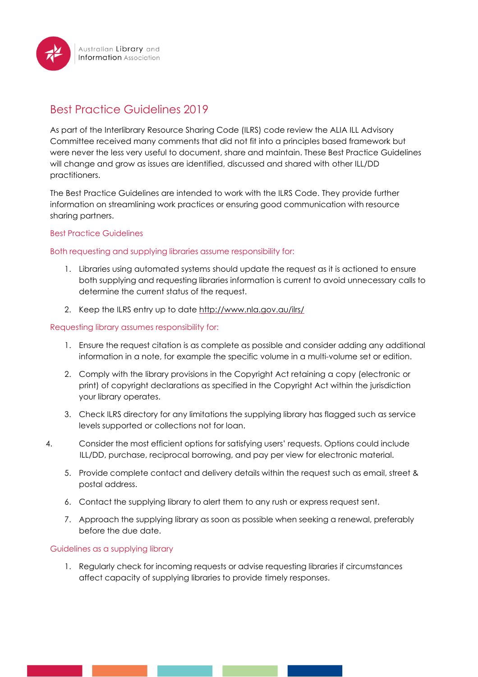

# Best Practice Guidelines 2019

As part of the Interlibrary Resource Sharing Code (ILRS) code review the ALIA ILL Advisory Committee received many comments that did not fit into a principles based framework but were never the less very useful to document, share and maintain. These Best Practice Guidelines will change and grow as issues are identified, discussed and shared with other ILL/DD practitioners.

The Best Practice Guidelines are intended to work with the ILRS Code. They provide further information on streamlining work practices or ensuring good communication with resource sharing partners.

## Best Practice Guidelines

### Both requesting and supplying libraries assume responsibility for:

- 1. Libraries using automated systems should update the request as it is actioned to ensure both supplying and requesting libraries information is current to avoid unnecessary calls to determine the current status of the request.
- 2. Keep the ILRS entry up to date <http://www.nla.gov.au/ilrs/>

### Requesting library assumes responsibility for:

- 1. Ensure the request citation is as complete as possible and consider adding any additional information in a note, for example the specific volume in a multi-volume set or edition.
- 2. Comply with the library provisions in the Copyright Act retaining a copy (electronic or print) of copyright declarations as specified in the Copyright Act within the jurisdiction your library operates.
- 3. Check ILRS directory for any limitations the supplying library has flagged such as service levels supported or collections not for loan.
- 4. Consider the most efficient options for satisfying users' requests. Options could include ILL/DD, purchase, reciprocal borrowing, and pay per view for electronic material.
	- 5. Provide complete contact and delivery details within the request such as email, street & postal address.
	- 6. Contact the supplying library to alert them to any rush or express request sent.
	- 7. Approach the supplying library as soon as possible when seeking a renewal, preferably before the due date.

#### Guidelines as a supplying library

1. Regularly check for incoming requests or advise requesting libraries if circumstances affect capacity of supplying libraries to provide timely responses.